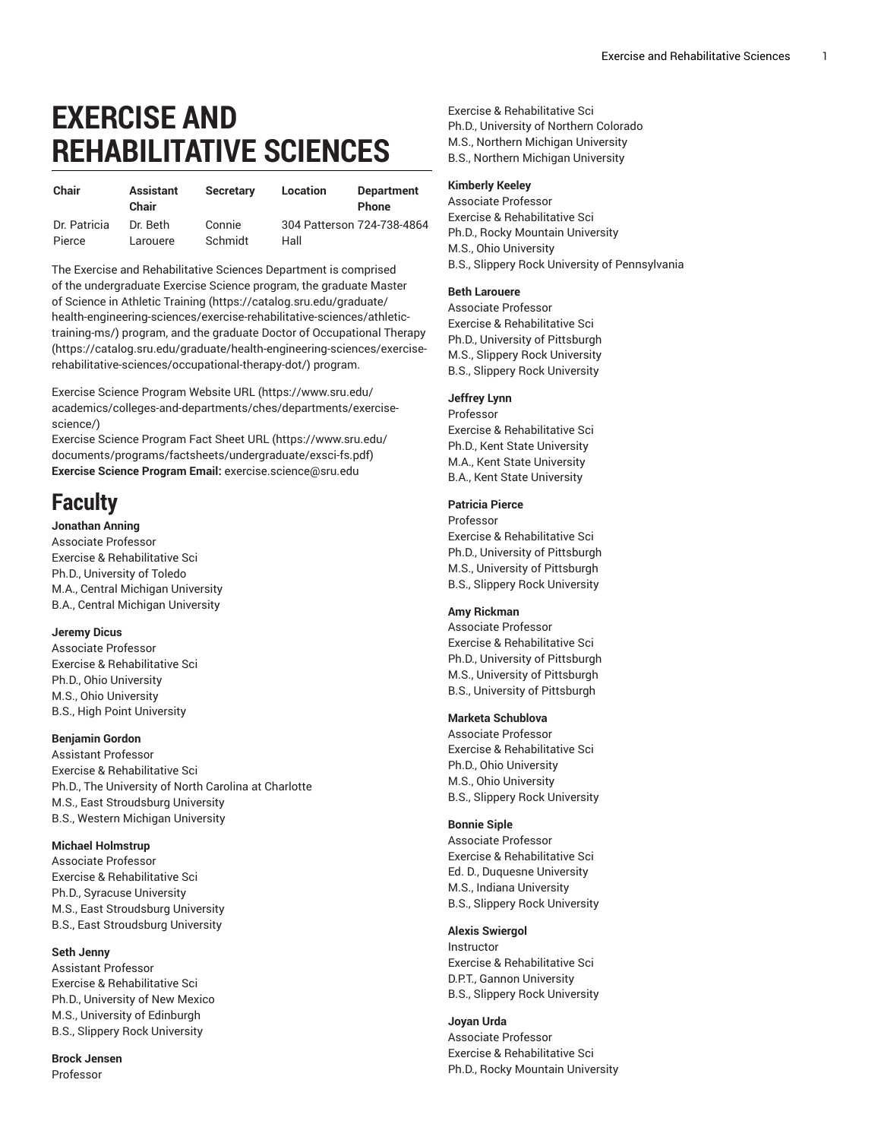# **EXERCISE AND REHABILITATIVE SCIENCES**

| Chair        | <b>Assistant</b><br>Chair | <b>Secretary</b> | Location                   | <b>Department</b><br><b>Phone</b> |
|--------------|---------------------------|------------------|----------------------------|-----------------------------------|
| Dr. Patricia | Dr. Beth                  | Connie           | 304 Patterson 724-738-4864 |                                   |
| Pierce       | Larouere                  | Schmidt          | Hall                       |                                   |

The Exercise and Rehabilitative Sciences Department is comprised of the undergraduate Exercise Science program, the graduate [Master](https://catalog.sru.edu/graduate/health-engineering-sciences/exercise-rehabilitative-sciences/athletic-training-ms/) of Science in Athletic [Training](https://catalog.sru.edu/graduate/health-engineering-sciences/exercise-rehabilitative-sciences/athletic-training-ms/) ([https://catalog.sru.edu/graduate/](https://catalog.sru.edu/graduate/health-engineering-sciences/exercise-rehabilitative-sciences/athletic-training-ms/) [health-engineering-sciences/exercise-rehabilitative-sciences/athletic](https://catalog.sru.edu/graduate/health-engineering-sciences/exercise-rehabilitative-sciences/athletic-training-ms/)[training-ms/](https://catalog.sru.edu/graduate/health-engineering-sciences/exercise-rehabilitative-sciences/athletic-training-ms/)) program, and the graduate Doctor of [Occupational](https://catalog.sru.edu/graduate/health-engineering-sciences/exercise-rehabilitative-sciences/occupational-therapy-dot/) Therapy ([https://catalog.sru.edu/graduate/health-engineering-sciences/exercise](https://catalog.sru.edu/graduate/health-engineering-sciences/exercise-rehabilitative-sciences/occupational-therapy-dot/)[rehabilitative-sciences/occupational-therapy-dot/](https://catalog.sru.edu/graduate/health-engineering-sciences/exercise-rehabilitative-sciences/occupational-therapy-dot/)) program.

Exercise Science [Program](https://www.sru.edu/academics/colleges-and-departments/ches/departments/exercise-science/) Website URL [\(https://www.sru.edu/](https://www.sru.edu/academics/colleges-and-departments/ches/departments/exercise-science/) [academics/colleges-and-departments/ches/departments/exercise](https://www.sru.edu/academics/colleges-and-departments/ches/departments/exercise-science/)[science/\)](https://www.sru.edu/academics/colleges-and-departments/ches/departments/exercise-science/)

Exercise Science [Program](https://www.sru.edu/documents/programs/factsheets/undergraduate/exsci-fs.pdf) Fact Sheet URL ([https://www.sru.edu/](https://www.sru.edu/documents/programs/factsheets/undergraduate/exsci-fs.pdf) [documents/programs/factsheets/undergraduate/exsci-fs.pdf](https://www.sru.edu/documents/programs/factsheets/undergraduate/exsci-fs.pdf)) **Exercise Science Program Email:** [exercise.science@sru.edu](mailto:exercise.science@sru.edu)

# **Faculty**

# **Jonathan Anning**

Associate Professor Exercise & Rehabilitative Sci Ph.D., University of Toledo M.A., Central Michigan University B.A., Central Michigan University

#### **Jeremy Dicus**

Associate Professor Exercise & Rehabilitative Sci Ph.D., Ohio University M.S., Ohio University B.S., High Point University

# **Benjamin Gordon**

Assistant Professor Exercise & Rehabilitative Sci Ph.D., The University of North Carolina at Charlotte M.S., East Stroudsburg University B.S., Western Michigan University

# **Michael Holmstrup**

Associate Professor Exercise & Rehabilitative Sci Ph.D., Syracuse University M.S., East Stroudsburg University B.S., East Stroudsburg University

# **Seth Jenny**

Assistant Professor Exercise & Rehabilitative Sci Ph.D., University of New Mexico M.S., University of Edinburgh B.S., Slippery Rock University

**Brock Jensen** Professor

Exercise & Rehabilitative Sci Ph.D., University of Northern Colorado M.S., Northern Michigan University B.S., Northern Michigan University

#### **Kimberly Keeley**

Associate Professor Exercise & Rehabilitative Sci Ph.D., Rocky Mountain University M.S., Ohio University B.S., Slippery Rock University of Pennsylvania

# **Beth Larouere**

Associate Professor Exercise & Rehabilitative Sci Ph.D., University of Pittsburgh M.S., Slippery Rock University B.S., Slippery Rock University

# **Jeffrey Lynn**

Professor Exercise & Rehabilitative Sci Ph.D., Kent State University M.A., Kent State University B.A., Kent State University

# **Patricia Pierce**

Professor Exercise & Rehabilitative Sci Ph.D., University of Pittsburgh M.S., University of Pittsburgh B.S., Slippery Rock University

# **Amy Rickman**

Associate Professor Exercise & Rehabilitative Sci Ph.D., University of Pittsburgh M.S., University of Pittsburgh B.S., University of Pittsburgh

# **Marketa Schublova**

Associate Professor Exercise & Rehabilitative Sci Ph.D., Ohio University M.S., Ohio University B.S., Slippery Rock University

# **Bonnie Siple**

Associate Professor Exercise & Rehabilitative Sci Ed. D., Duquesne University M.S., Indiana University B.S., Slippery Rock University

# **Alexis Swiergol**

Instructor Exercise & Rehabilitative Sci D.P.T., Gannon University B.S., Slippery Rock University

**Joyan Urda** Associate Professor Exercise & Rehabilitative Sci Ph.D., Rocky Mountain University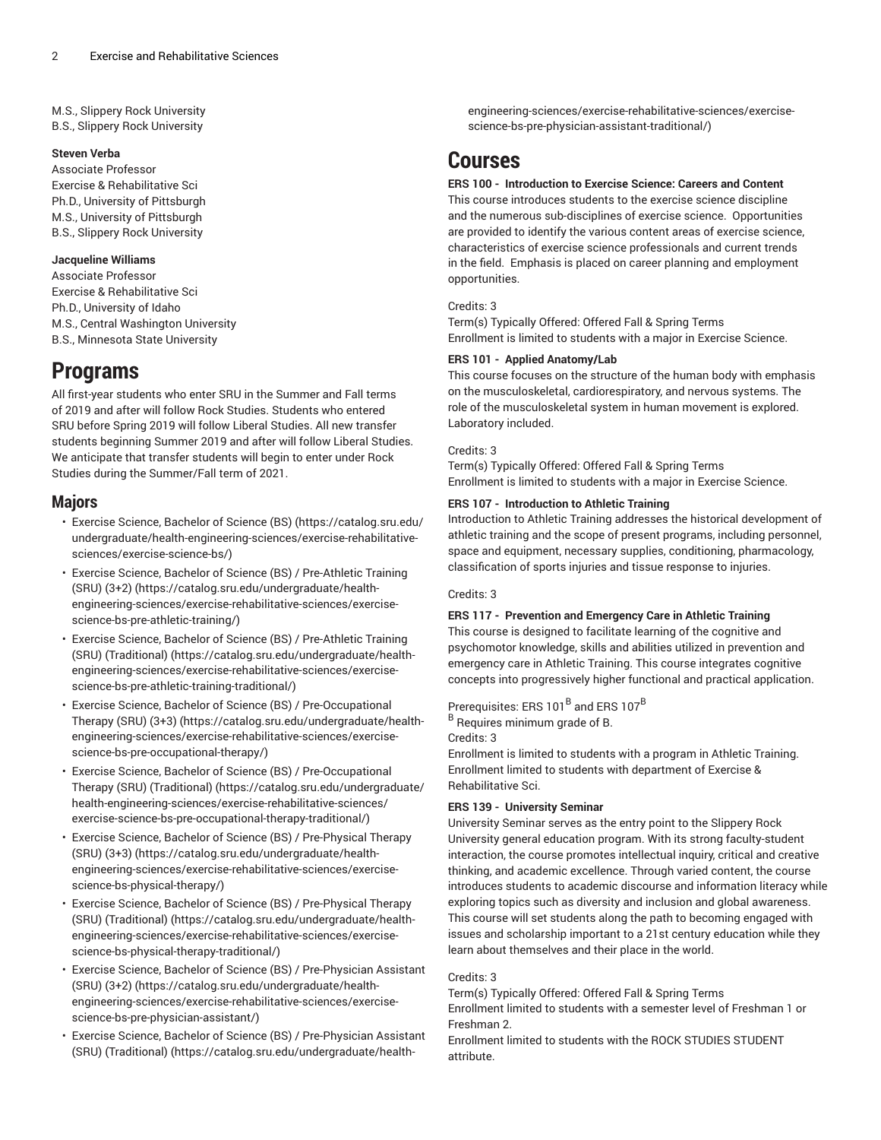M.S., Slippery Rock University B.S., Slippery Rock University

#### **Steven Verba**

Associate Professor Exercise & Rehabilitative Sci Ph.D., University of Pittsburgh M.S., University of Pittsburgh B.S., Slippery Rock University

#### **Jacqueline Williams**

Associate Professor Exercise & Rehabilitative Sci Ph.D., University of Idaho M.S., Central Washington University B.S., Minnesota State University

# **Programs**

All first-year students who enter SRU in the Summer and Fall terms of 2019 and after will follow Rock Studies. Students who entered SRU before Spring 2019 will follow Liberal Studies. All new transfer students beginning Summer 2019 and after will follow Liberal Studies. We anticipate that transfer students will begin to enter under Rock Studies during the Summer/Fall term of 2021.

# **Majors**

- Exercise Science, [Bachelor](https://catalog.sru.edu/undergraduate/health-engineering-sciences/exercise-rehabilitative-sciences/exercise-science-bs/) of Science (BS) ([https://catalog.sru.edu/](https://catalog.sru.edu/undergraduate/health-engineering-sciences/exercise-rehabilitative-sciences/exercise-science-bs/) [undergraduate/health-engineering-sciences/exercise-rehabilitative](https://catalog.sru.edu/undergraduate/health-engineering-sciences/exercise-rehabilitative-sciences/exercise-science-bs/)[sciences/exercise-science-bs/\)](https://catalog.sru.edu/undergraduate/health-engineering-sciences/exercise-rehabilitative-sciences/exercise-science-bs/)
- Exercise Science, Bachelor of Science (BS) / [Pre-Athletic](https://catalog.sru.edu/undergraduate/health-engineering-sciences/exercise-rehabilitative-sciences/exercise-science-bs-pre-athletic-training/) Training [\(SRU\) \(3+2\) \(https://catalog.sru.edu/undergraduate/health](https://catalog.sru.edu/undergraduate/health-engineering-sciences/exercise-rehabilitative-sciences/exercise-science-bs-pre-athletic-training/)[engineering-sciences/exercise-rehabilitative-sciences/exercise](https://catalog.sru.edu/undergraduate/health-engineering-sciences/exercise-rehabilitative-sciences/exercise-science-bs-pre-athletic-training/)[science-bs-pre-athletic-training/](https://catalog.sru.edu/undergraduate/health-engineering-sciences/exercise-rehabilitative-sciences/exercise-science-bs-pre-athletic-training/))
- Exercise Science, Bachelor of Science (BS) / [Pre-Athletic](https://catalog.sru.edu/undergraduate/health-engineering-sciences/exercise-rehabilitative-sciences/exercise-science-bs-pre-athletic-training-traditional/) Training (SRU) [\(Traditional\) \(https://catalog.sru.edu/undergraduate/health](https://catalog.sru.edu/undergraduate/health-engineering-sciences/exercise-rehabilitative-sciences/exercise-science-bs-pre-athletic-training-traditional/)[engineering-sciences/exercise-rehabilitative-sciences/exercise](https://catalog.sru.edu/undergraduate/health-engineering-sciences/exercise-rehabilitative-sciences/exercise-science-bs-pre-athletic-training-traditional/)[science-bs-pre-athletic-training-traditional/](https://catalog.sru.edu/undergraduate/health-engineering-sciences/exercise-rehabilitative-sciences/exercise-science-bs-pre-athletic-training-traditional/))
- Exercise Science, Bachelor of Science (BS) / [Pre-Occupational](https://catalog.sru.edu/undergraduate/health-engineering-sciences/exercise-rehabilitative-sciences/exercise-science-bs-pre-occupational-therapy/) [Therapy](https://catalog.sru.edu/undergraduate/health-engineering-sciences/exercise-rehabilitative-sciences/exercise-science-bs-pre-occupational-therapy/) (SRU) (3+3) ([https://catalog.sru.edu/undergraduate/health](https://catalog.sru.edu/undergraduate/health-engineering-sciences/exercise-rehabilitative-sciences/exercise-science-bs-pre-occupational-therapy/)[engineering-sciences/exercise-rehabilitative-sciences/exercise](https://catalog.sru.edu/undergraduate/health-engineering-sciences/exercise-rehabilitative-sciences/exercise-science-bs-pre-occupational-therapy/)[science-bs-pre-occupational-therapy/\)](https://catalog.sru.edu/undergraduate/health-engineering-sciences/exercise-rehabilitative-sciences/exercise-science-bs-pre-occupational-therapy/)
- Exercise Science, Bachelor of Science (BS) / [Pre-Occupational](https://catalog.sru.edu/undergraduate/health-engineering-sciences/exercise-rehabilitative-sciences/exercise-science-bs-pre-occupational-therapy-traditional/) Therapy (SRU) [\(Traditional\) \(https://catalog.sru.edu/undergraduate/](https://catalog.sru.edu/undergraduate/health-engineering-sciences/exercise-rehabilitative-sciences/exercise-science-bs-pre-occupational-therapy-traditional/) [health-engineering-sciences/exercise-rehabilitative-sciences/](https://catalog.sru.edu/undergraduate/health-engineering-sciences/exercise-rehabilitative-sciences/exercise-science-bs-pre-occupational-therapy-traditional/) [exercise-science-bs-pre-occupational-therapy-traditional/\)](https://catalog.sru.edu/undergraduate/health-engineering-sciences/exercise-rehabilitative-sciences/exercise-science-bs-pre-occupational-therapy-traditional/)
- Exercise Science, Bachelor of Science (BS) / [Pre-Physical](https://catalog.sru.edu/undergraduate/health-engineering-sciences/exercise-rehabilitative-sciences/exercise-science-bs-physical-therapy/) Therapy [\(SRU\) \(3+3\) \(https://catalog.sru.edu/undergraduate/health](https://catalog.sru.edu/undergraduate/health-engineering-sciences/exercise-rehabilitative-sciences/exercise-science-bs-physical-therapy/)[engineering-sciences/exercise-rehabilitative-sciences/exercise](https://catalog.sru.edu/undergraduate/health-engineering-sciences/exercise-rehabilitative-sciences/exercise-science-bs-physical-therapy/)[science-bs-physical-therapy/](https://catalog.sru.edu/undergraduate/health-engineering-sciences/exercise-rehabilitative-sciences/exercise-science-bs-physical-therapy/))
- Exercise Science, Bachelor of Science (BS) / [Pre-Physical](https://catalog.sru.edu/undergraduate/health-engineering-sciences/exercise-rehabilitative-sciences/exercise-science-bs-physical-therapy-traditional/) Therapy (SRU) [\(Traditional\) \(https://catalog.sru.edu/undergraduate/health](https://catalog.sru.edu/undergraduate/health-engineering-sciences/exercise-rehabilitative-sciences/exercise-science-bs-physical-therapy-traditional/)[engineering-sciences/exercise-rehabilitative-sciences/exercise](https://catalog.sru.edu/undergraduate/health-engineering-sciences/exercise-rehabilitative-sciences/exercise-science-bs-physical-therapy-traditional/)[science-bs-physical-therapy-traditional/](https://catalog.sru.edu/undergraduate/health-engineering-sciences/exercise-rehabilitative-sciences/exercise-science-bs-physical-therapy-traditional/))
- Exercise Science, Bachelor of Science (BS) / [Pre-Physician](https://catalog.sru.edu/undergraduate/health-engineering-sciences/exercise-rehabilitative-sciences/exercise-science-bs-pre-physician-assistant/) Assistant [\(SRU\) \(3+2\) \(https://catalog.sru.edu/undergraduate/health](https://catalog.sru.edu/undergraduate/health-engineering-sciences/exercise-rehabilitative-sciences/exercise-science-bs-pre-physician-assistant/)[engineering-sciences/exercise-rehabilitative-sciences/exercise](https://catalog.sru.edu/undergraduate/health-engineering-sciences/exercise-rehabilitative-sciences/exercise-science-bs-pre-physician-assistant/)[science-bs-pre-physician-assistant/\)](https://catalog.sru.edu/undergraduate/health-engineering-sciences/exercise-rehabilitative-sciences/exercise-science-bs-pre-physician-assistant/)
- Exercise Science, Bachelor of Science (BS) / [Pre-Physician](https://catalog.sru.edu/undergraduate/health-engineering-sciences/exercise-rehabilitative-sciences/exercise-science-bs-pre-physician-assistant-traditional/) Assistant (SRU) [\(Traditional\) \(https://catalog.sru.edu/undergraduate/health-](https://catalog.sru.edu/undergraduate/health-engineering-sciences/exercise-rehabilitative-sciences/exercise-science-bs-pre-physician-assistant-traditional/)

[engineering-sciences/exercise-rehabilitative-sciences/exercise](https://catalog.sru.edu/undergraduate/health-engineering-sciences/exercise-rehabilitative-sciences/exercise-science-bs-pre-physician-assistant-traditional/)[science-bs-pre-physician-assistant-traditional/](https://catalog.sru.edu/undergraduate/health-engineering-sciences/exercise-rehabilitative-sciences/exercise-science-bs-pre-physician-assistant-traditional/))

# **Courses**

# **ERS 100 - Introduction to Exercise Science: Careers and Content**

This course introduces students to the exercise science discipline and the numerous sub-disciplines of exercise science. Opportunities are provided to identify the various content areas of exercise science, characteristics of exercise science professionals and current trends in the field. Emphasis is placed on career planning and employment opportunities.

# Credits: 3

Term(s) Typically Offered: Offered Fall & Spring Terms Enrollment is limited to students with a major in Exercise Science.

#### **ERS 101 - Applied Anatomy/Lab**

This course focuses on the structure of the human body with emphasis on the musculoskeletal, cardiorespiratory, and nervous systems. The role of the musculoskeletal system in human movement is explored. Laboratory included.

#### Credits: 3

Term(s) Typically Offered: Offered Fall & Spring Terms Enrollment is limited to students with a major in Exercise Science.

#### **ERS 107 - Introduction to Athletic Training**

Introduction to Athletic Training addresses the historical development of athletic training and the scope of present programs, including personnel, space and equipment, necessary supplies, conditioning, pharmacology, classification of sports injuries and tissue response to injuries.

# Credits: 3

#### **ERS 117 - Prevention and Emergency Care in Athletic Training**

This course is designed to facilitate learning of the cognitive and psychomotor knowledge, skills and abilities utilized in prevention and emergency care in Athletic Training. This course integrates cognitive concepts into progressively higher functional and practical application.

Prerequisites: ERS 101 $^{\sf B}$  and ERS 107 $^{\sf B}$ 

B Requires minimum grade of B.

Credits: 3

Enrollment is limited to students with a program in Athletic Training. Enrollment limited to students with department of Exercise & Rehabilitative Sci.

# **ERS 139 - University Seminar**

University Seminar serves as the entry point to the Slippery Rock University general education program. With its strong faculty-student interaction, the course promotes intellectual inquiry, critical and creative thinking, and academic excellence. Through varied content, the course introduces students to academic discourse and information literacy while exploring topics such as diversity and inclusion and global awareness. This course will set students along the path to becoming engaged with issues and scholarship important to a 21st century education while they learn about themselves and their place in the world.

#### Credits: 3

Term(s) Typically Offered: Offered Fall & Spring Terms Enrollment limited to students with a semester level of Freshman 1 or Freshman 2.

Enrollment limited to students with the ROCK STUDIES STUDENT attribute.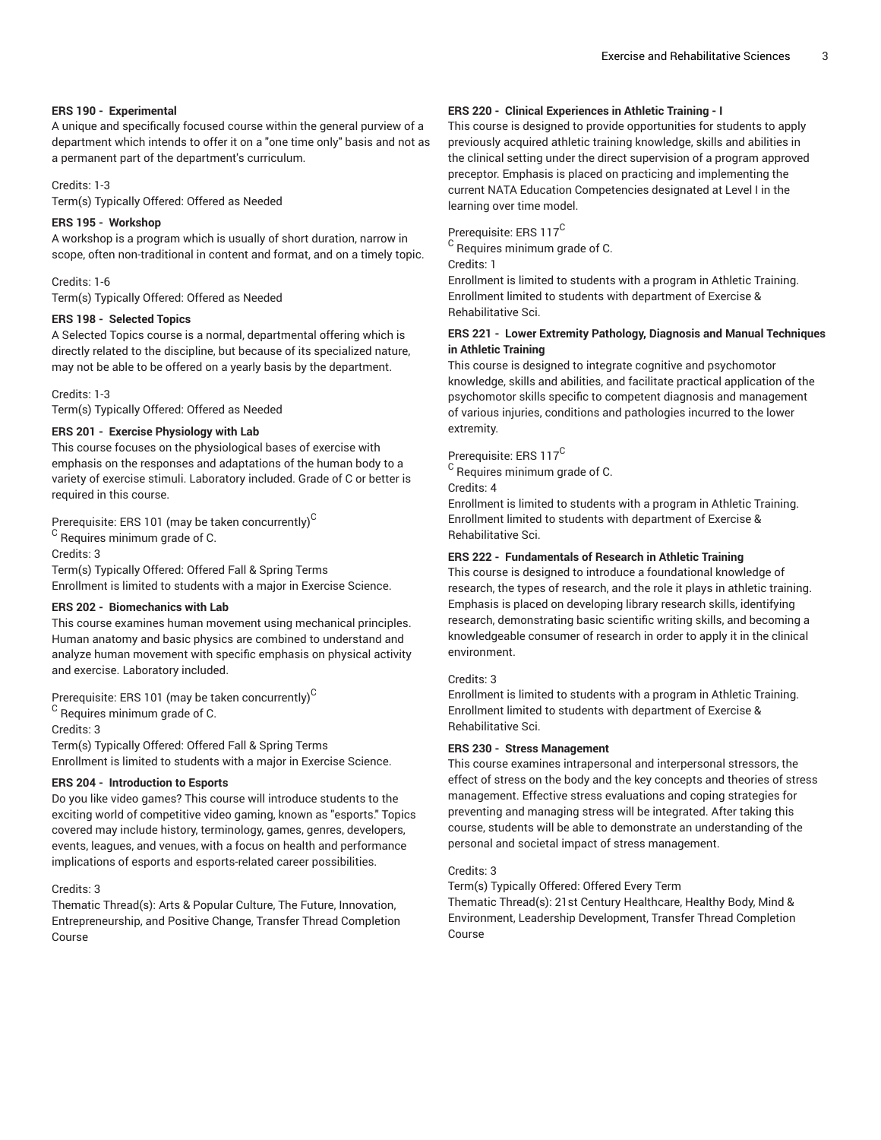#### **ERS 190 - Experimental**

A unique and specifically focused course within the general purview of a department which intends to offer it on a "one time only" basis and not as a permanent part of the department's curriculum.

#### Credits: 1-3

Term(s) Typically Offered: Offered as Needed

## **ERS 195 - Workshop**

A workshop is a program which is usually of short duration, narrow in scope, often non-traditional in content and format, and on a timely topic.

#### Credits: 1-6

Term(s) Typically Offered: Offered as Needed

## **ERS 198 - Selected Topics**

A Selected Topics course is a normal, departmental offering which is directly related to the discipline, but because of its specialized nature, may not be able to be offered on a yearly basis by the department.

Credits: 1-3

Term(s) Typically Offered: Offered as Needed

## **ERS 201 - Exercise Physiology with Lab**

This course focuses on the physiological bases of exercise with emphasis on the responses and adaptations of the human body to a variety of exercise stimuli. Laboratory included. Grade of C or better is required in this course.

Prerequisite: ERS 101 (may be taken concurrently) $^{\mathsf{C}}$ 

 $^{\rm C}$  Requires minimum grade of C.

Credits: 3

Term(s) Typically Offered: Offered Fall & Spring Terms Enrollment is limited to students with a major in Exercise Science.

#### **ERS 202 - Biomechanics with Lab**

This course examines human movement using mechanical principles. Human anatomy and basic physics are combined to understand and analyze human movement with specific emphasis on physical activity and exercise. Laboratory included.

Prerequisite: ERS 101 (may be taken concurrently) $^{\rm C}$ 

 $^{\rm C}$  Requires minimum grade of C.

Credits: 3

Term(s) Typically Offered: Offered Fall & Spring Terms Enrollment is limited to students with a major in Exercise Science.

#### **ERS 204 - Introduction to Esports**

Do you like video games? This course will introduce students to the exciting world of competitive video gaming, known as "esports." Topics covered may include history, terminology, games, genres, developers, events, leagues, and venues, with a focus on health and performance implications of esports and esports-related career possibilities.

#### Credits: 3

Thematic Thread(s): Arts & Popular Culture, The Future, Innovation, Entrepreneurship, and Positive Change, Transfer Thread Completion Course

# **ERS 220 - Clinical Experiences in Athletic Training - I**

This course is designed to provide opportunities for students to apply previously acquired athletic training knowledge, skills and abilities in the clinical setting under the direct supervision of a program approved preceptor. Emphasis is placed on practicing and implementing the current NATA Education Competencies designated at Level I in the learning over time model.

Prerequisite: ERS 117<sup>C</sup>

 $^{\rm C}$  Requires minimum grade of C.

Credits: 1

Enrollment is limited to students with a program in Athletic Training. Enrollment limited to students with department of Exercise & Rehabilitative Sci.

# **ERS 221 - Lower Extremity Pathology, Diagnosis and Manual Techniques in Athletic Training**

This course is designed to integrate cognitive and psychomotor knowledge, skills and abilities, and facilitate practical application of the psychomotor skills specific to competent diagnosis and management of various injuries, conditions and pathologies incurred to the lower extremity.

# Prerequisite: ERS 117<sup>C</sup>

 $^{\rm C}$  Requires minimum grade of C.

Credits: 4

Enrollment is limited to students with a program in Athletic Training. Enrollment limited to students with department of Exercise & Rehabilitative Sci.

## **ERS 222 - Fundamentals of Research in Athletic Training**

This course is designed to introduce a foundational knowledge of research, the types of research, and the role it plays in athletic training. Emphasis is placed on developing library research skills, identifying research, demonstrating basic scientific writing skills, and becoming a knowledgeable consumer of research in order to apply it in the clinical environment.

#### Credits: 3

Enrollment is limited to students with a program in Athletic Training. Enrollment limited to students with department of Exercise & Rehabilitative Sci.

#### **ERS 230 - Stress Management**

This course examines intrapersonal and interpersonal stressors, the effect of stress on the body and the key concepts and theories of stress management. Effective stress evaluations and coping strategies for preventing and managing stress will be integrated. After taking this course, students will be able to demonstrate an understanding of the personal and societal impact of stress management.

#### Credits: 3

Term(s) Typically Offered: Offered Every Term

Thematic Thread(s): 21st Century Healthcare, Healthy Body, Mind & Environment, Leadership Development, Transfer Thread Completion Course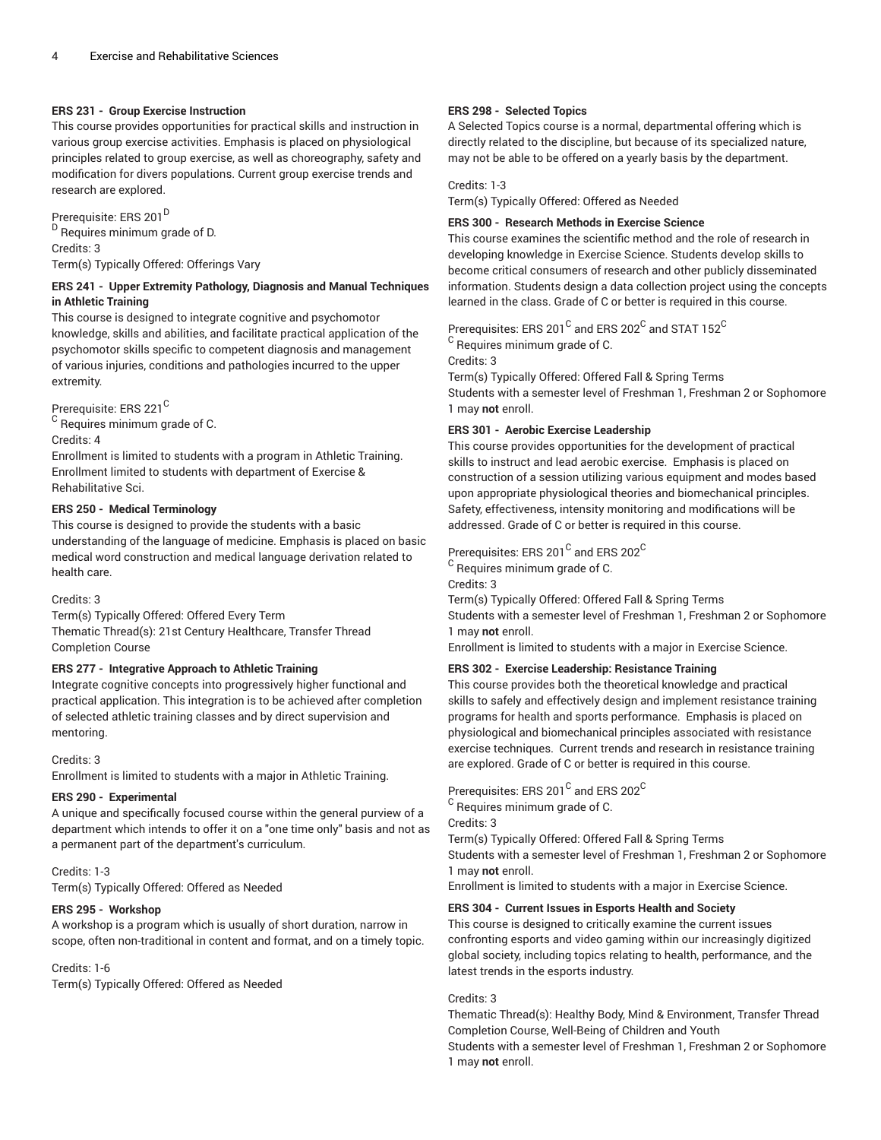#### **ERS 231 - Group Exercise Instruction**

This course provides opportunities for practical skills and instruction in various group exercise activities. Emphasis is placed on physiological principles related to group exercise, as well as choreography, safety and modification for divers populations. Current group exercise trends and research are explored.

Prerequisite: ERS 201<sup>D</sup> <sup>D</sup> Requires minimum grade of D. Credits: 3 Term(s) Typically Offered: Offerings Vary

# **ERS 241 - Upper Extremity Pathology, Diagnosis and Manual Techniques in Athletic Training**

This course is designed to integrate cognitive and psychomotor knowledge, skills and abilities, and facilitate practical application of the psychomotor skills specific to competent diagnosis and management of various injuries, conditions and pathologies incurred to the upper extremity.

Prerequisite: ERS 221<sup>C</sup>

 $^{\mathsf{C}}$  Requires minimum grade of C.

Credits: 4

Enrollment is limited to students with a program in Athletic Training. Enrollment limited to students with department of Exercise & Rehabilitative Sci.

# **ERS 250 - Medical Terminology**

This course is designed to provide the students with a basic understanding of the language of medicine. Emphasis is placed on basic medical word construction and medical language derivation related to health care.

Credits: 3

Term(s) Typically Offered: Offered Every Term Thematic Thread(s): 21st Century Healthcare, Transfer Thread Completion Course

# **ERS 277 - Integrative Approach to Athletic Training**

Integrate cognitive concepts into progressively higher functional and practical application. This integration is to be achieved after completion of selected athletic training classes and by direct supervision and mentoring.

#### Credits: 3

Enrollment is limited to students with a major in Athletic Training.

#### **ERS 290 - Experimental**

A unique and specifically focused course within the general purview of a department which intends to offer it on a "one time only" basis and not as a permanent part of the department's curriculum.

#### Credits: 1-3

Term(s) Typically Offered: Offered as Needed

# **ERS 295 - Workshop**

A workshop is a program which is usually of short duration, narrow in scope, often non-traditional in content and format, and on a timely topic.

Credits: 1-6

Term(s) Typically Offered: Offered as Needed

#### **ERS 298 - Selected Topics**

A Selected Topics course is a normal, departmental offering which is directly related to the discipline, but because of its specialized nature, may not be able to be offered on a yearly basis by the department.

#### Credits: 1-3

Term(s) Typically Offered: Offered as Needed

# **ERS 300 - Research Methods in Exercise Science**

This course examines the scientific method and the role of research in developing knowledge in Exercise Science. Students develop skills to become critical consumers of research and other publicly disseminated information. Students design a data collection project using the concepts learned in the class. Grade of C or better is required in this course.

# Prerequisites: ERS 201 $^{\rm C}$  and ERS 202 $^{\rm C}$  and STAT 152 $^{\rm C}$

 $^{\rm C}$  Requires minimum grade of C.

Credits: 3

Term(s) Typically Offered: Offered Fall & Spring Terms Students with a semester level of Freshman 1, Freshman 2 or Sophomore 1 may **not** enroll.

## **ERS 301 - Aerobic Exercise Leadership**

This course provides opportunities for the development of practical skills to instruct and lead aerobic exercise. Emphasis is placed on construction of a session utilizing various equipment and modes based upon appropriate physiological theories and biomechanical principles. Safety, effectiveness, intensity monitoring and modifications will be addressed. Grade of C or better is required in this course.

Prerequisites: ERS 201 $^{\rm C}$  and ERS 202 $^{\rm C}$ 

 $^{\rm C}$  Requires minimum grade of C.

Credits: 3

Term(s) Typically Offered: Offered Fall & Spring Terms Students with a semester level of Freshman 1, Freshman 2 or Sophomore 1 may **not** enroll.

Enrollment is limited to students with a major in Exercise Science.

# **ERS 302 - Exercise Leadership: Resistance Training**

This course provides both the theoretical knowledge and practical skills to safely and effectively design and implement resistance training programs for health and sports performance. Emphasis is placed on physiological and biomechanical principles associated with resistance exercise techniques. Current trends and research in resistance training are explored. Grade of C or better is required in this course.

Prerequisites: ERS 201 $^{\rm C}$  and ERS 202 $^{\rm C}$ 

 $^{\rm C}$  Requires minimum grade of C.

Credits: 3

Term(s) Typically Offered: Offered Fall & Spring Terms

Students with a semester level of Freshman 1, Freshman 2 or Sophomore 1 may **not** enroll.

Enrollment is limited to students with a major in Exercise Science.

#### **ERS 304 - Current Issues in Esports Health and Society**

This course is designed to critically examine the current issues confronting esports and video gaming within our increasingly digitized global society, including topics relating to health, performance, and the latest trends in the esports industry.

#### Credits: 3

Thematic Thread(s): Healthy Body, Mind & Environment, Transfer Thread Completion Course, Well-Being of Children and Youth Students with a semester level of Freshman 1, Freshman 2 or Sophomore 1 may **not** enroll.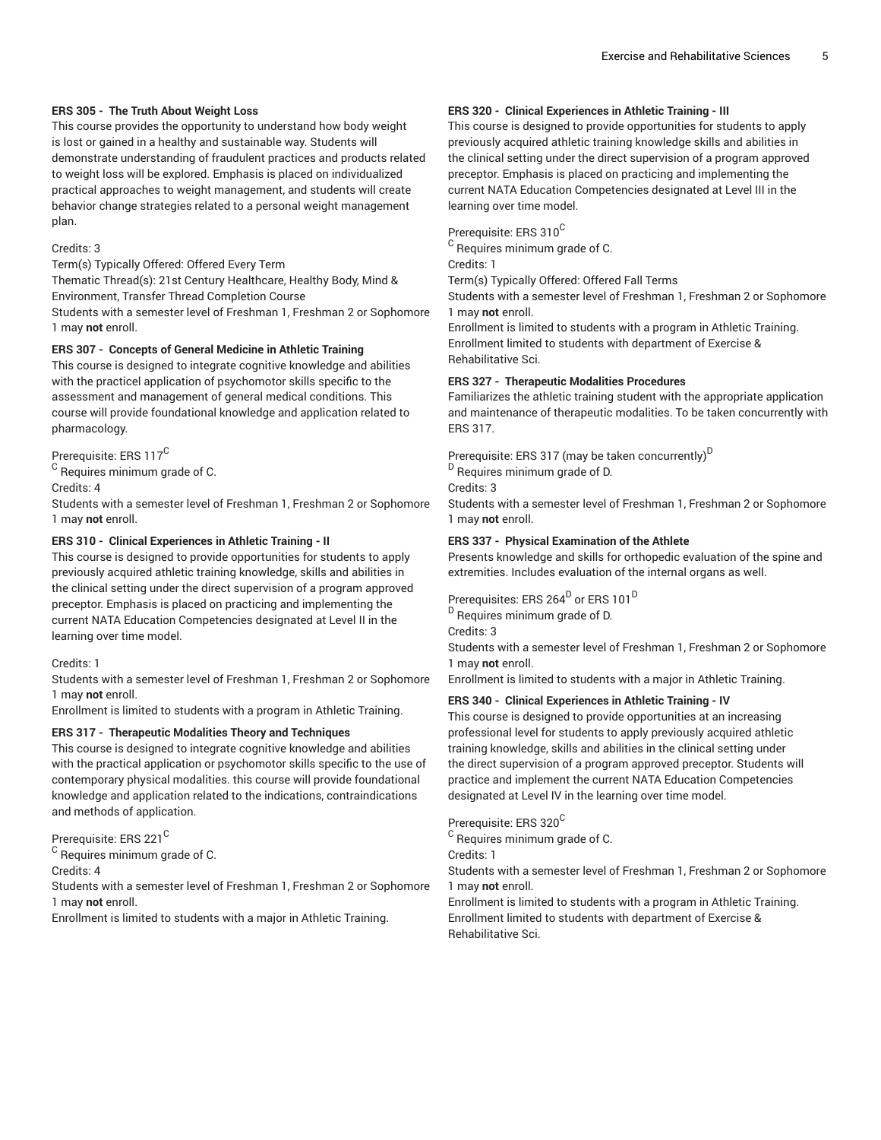#### **ERS 305 - The Truth About Weight Loss**

This course provides the opportunity to understand how body weight is lost or gained in a healthy and sustainable way. Students will demonstrate understanding of fraudulent practices and products related to weight loss will be explored. Emphasis is placed on individualized practical approaches to weight management, and students will create behavior change strategies related to a personal weight management plan.

#### Credits: 3

Term(s) Typically Offered: Offered Every Term

Thematic Thread(s): 21st Century Healthcare, Healthy Body, Mind &

Environment, Transfer Thread Completion Course Students with a semester level of Freshman 1, Freshman 2 or Sophomore 1 may **not** enroll.

#### **ERS 307 - Concepts of General Medicine in Athletic Training**

This course is designed to integrate cognitive knowledge and abilities with the practicel application of psychomotor skills specific to the assessment and management of general medical conditions. This course will provide foundational knowledge and application related to pharmacology.

Prerequisite: ERS 117<sup>C</sup>

 $^{\mathsf{C}}$  Requires minimum grade of C.

Credits: 4

Students with a semester level of Freshman 1, Freshman 2 or Sophomore 1 may **not** enroll.

#### **ERS 310 - Clinical Experiences in Athletic Training - II**

This course is designed to provide opportunities for students to apply previously acquired athletic training knowledge, skills and abilities in the clinical setting under the direct supervision of a program approved preceptor. Emphasis is placed on practicing and implementing the current NATA Education Competencies designated at Level II in the learning over time model.

#### Credits: 1

Students with a semester level of Freshman 1, Freshman 2 or Sophomore 1 may **not** enroll.

Enrollment is limited to students with a program in Athletic Training.

#### **ERS 317 - Therapeutic Modalities Theory and Techniques**

This course is designed to integrate cognitive knowledge and abilities with the practical application or psychomotor skills specific to the use of contemporary physical modalities. this course will provide foundational knowledge and application related to the indications, contraindications and methods of application.

Prerequisite: ERS 221<sup>C</sup>

 $^{\mathsf{C}}$  Requires minimum grade of C.

Credits: 4

Students with a semester level of Freshman 1, Freshman 2 or Sophomore 1 may **not** enroll.

Enrollment is limited to students with a major in Athletic Training.

#### **ERS 320 - Clinical Experiences in Athletic Training - III**

This course is designed to provide opportunities for students to apply previously acquired athletic training knowledge skills and abilities in the clinical setting under the direct supervision of a program approved preceptor. Emphasis is placed on practicing and implementing the current NATA Education Competencies designated at Level III in the learning over time model.

Prerequisite: ERS 310<sup>C</sup>

 $^{\rm C}$  Requires minimum grade of C.

Credits: 1

Term(s) Typically Offered: Offered Fall Terms

Students with a semester level of Freshman 1, Freshman 2 or Sophomore 1 may **not** enroll.

Enrollment is limited to students with a program in Athletic Training. Enrollment limited to students with department of Exercise & Rehabilitative Sci.

# **ERS 327 - Therapeutic Modalities Procedures**

Familiarizes the athletic training student with the appropriate application and maintenance of therapeutic modalities. To be taken concurrently with ERS 317.

Prerequisite: ERS 317 (may be taken concurrently) D

<sup>D</sup> Requires minimum grade of D.

Credits: 3

Students with a semester level of Freshman 1, Freshman 2 or Sophomore 1 may **not** enroll.

#### **ERS 337 - Physical Examination of the Athlete**

Presents knowledge and skills for orthopedic evaluation of the spine and extremities. Includes evaluation of the internal organs as well.

Prerequisites: ERS 264<sup>D</sup> or ERS 101<sup>D</sup>

<sup>D</sup> Requires minimum grade of D.

Credits: 3

Students with a semester level of Freshman 1, Freshman 2 or Sophomore 1 may **not** enroll.

Enrollment is limited to students with a major in Athletic Training.

#### **ERS 340 - Clinical Experiences in Athletic Training - IV**

This course is designed to provide opportunities at an increasing professional level for students to apply previously acquired athletic training knowledge, skills and abilities in the clinical setting under the direct supervision of a program approved preceptor. Students will practice and implement the current NATA Education Competencies designated at Level IV in the learning over time model.

# Prerequisite: ERS 320<sup>C</sup>

 $^{\rm C}$  Requires minimum grade of C.

Credits: 1

Students with a semester level of Freshman 1, Freshman 2 or Sophomore 1 may **not** enroll.

Enrollment is limited to students with a program in Athletic Training. Enrollment limited to students with department of Exercise & Rehabilitative Sci.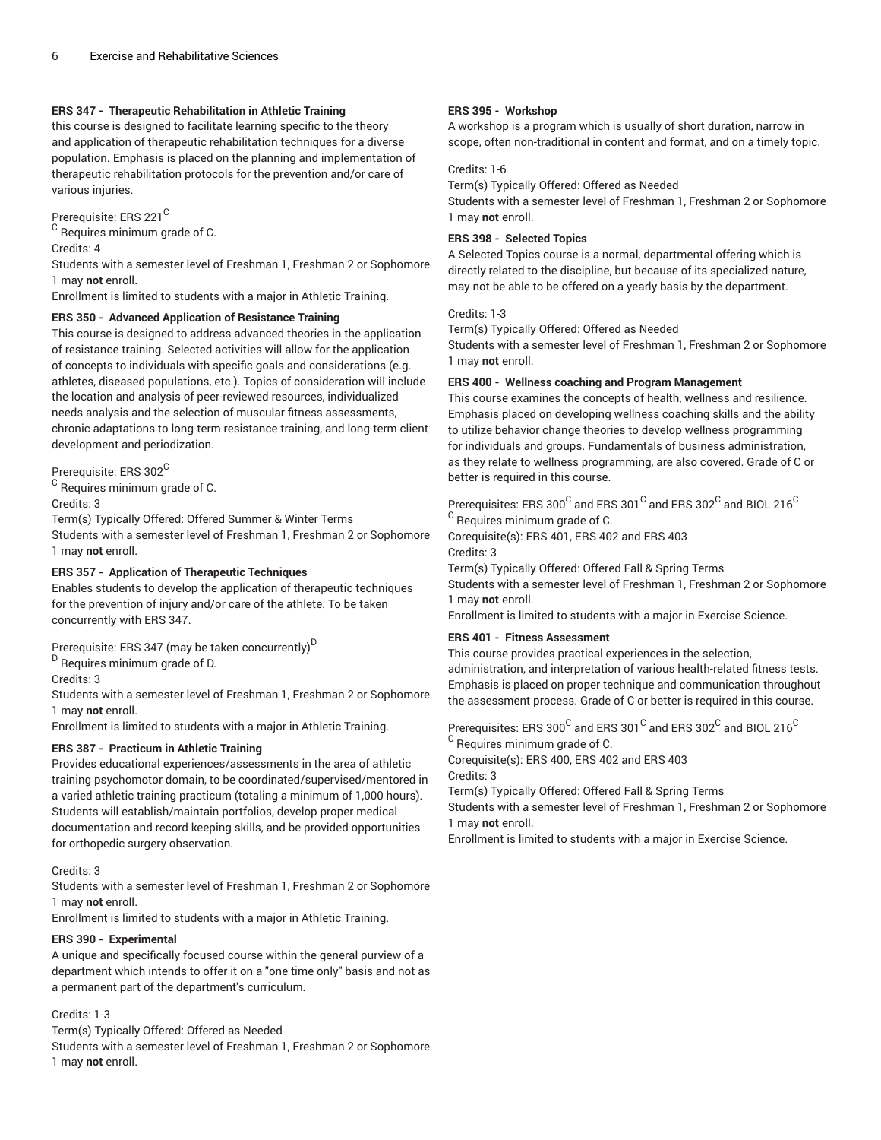# **ERS 347 - Therapeutic Rehabilitation in Athletic Training**

this course is designed to facilitate learning specific to the theory and application of therapeutic rehabilitation techniques for a diverse population. Emphasis is placed on the planning and implementation of therapeutic rehabilitation protocols for the prevention and/or care of various injuries.

Prerequisite: ERS 221<sup>C</sup>

 $^{\mathsf{C}}$  Requires minimum grade of C. Credits: 4

Students with a semester level of Freshman 1, Freshman 2 or Sophomore 1 may **not** enroll.

Enrollment is limited to students with a major in Athletic Training.

## **ERS 350 - Advanced Application of Resistance Training**

This course is designed to address advanced theories in the application of resistance training. Selected activities will allow for the application of concepts to individuals with specific goals and considerations (e.g. athletes, diseased populations, etc.). Topics of consideration will include the location and analysis of peer-reviewed resources, individualized needs analysis and the selection of muscular fitness assessments, chronic adaptations to long-term resistance training, and long-term client development and periodization.

Prerequisite: ERS 302<sup>C</sup>

 $^{\mathsf{C}}$  Requires minimum grade of C.

Credits: 3

Term(s) Typically Offered: Offered Summer & Winter Terms Students with a semester level of Freshman 1, Freshman 2 or Sophomore 1 may **not** enroll.

# **ERS 357 - Application of Therapeutic Techniques**

Enables students to develop the application of therapeutic techniques for the prevention of injury and/or care of the athlete. To be taken concurrently with ERS 347.

Prerequisite: ERS 347 (may be taken concurrently) $^{\mathsf{D}}$ 

<sup>D</sup> Requires minimum grade of D.

Credits: 3

Students with a semester level of Freshman 1, Freshman 2 or Sophomore 1 may **not** enroll.

Enrollment is limited to students with a major in Athletic Training.

# **ERS 387 - Practicum in Athletic Training**

Provides educational experiences/assessments in the area of athletic training psychomotor domain, to be coordinated/supervised/mentored in a varied athletic training practicum (totaling a minimum of 1,000 hours). Students will establish/maintain portfolios, develop proper medical documentation and record keeping skills, and be provided opportunities for orthopedic surgery observation.

#### Credits: 3

Students with a semester level of Freshman 1, Freshman 2 or Sophomore 1 may **not** enroll.

Enrollment is limited to students with a major in Athletic Training.

#### **ERS 390 - Experimental**

A unique and specifically focused course within the general purview of a department which intends to offer it on a "one time only" basis and not as a permanent part of the department's curriculum.

# Credits: 1-3

Term(s) Typically Offered: Offered as Needed

Students with a semester level of Freshman 1, Freshman 2 or Sophomore 1 may **not** enroll.

# **ERS 395 - Workshop**

A workshop is a program which is usually of short duration, narrow in scope, often non-traditional in content and format, and on a timely topic.

# Credits: 1-6

Term(s) Typically Offered: Offered as Needed Students with a semester level of Freshman 1, Freshman 2 or Sophomore 1 may **not** enroll.

# **ERS 398 - Selected Topics**

A Selected Topics course is a normal, departmental offering which is directly related to the discipline, but because of its specialized nature, may not be able to be offered on a yearly basis by the department.

# Credits: 1-3

Term(s) Typically Offered: Offered as Needed

Students with a semester level of Freshman 1, Freshman 2 or Sophomore 1 may **not** enroll.

## **ERS 400 - Wellness coaching and Program Management**

This course examines the concepts of health, wellness and resilience. Emphasis placed on developing wellness coaching skills and the ability to utilize behavior change theories to develop wellness programming for individuals and groups. Fundamentals of business administration, as they relate to wellness programming, are also covered. Grade of C or better is required in this course.

Prerequisites: ERS 300 $^{\rm C}$  and ERS 301 $^{\rm C}$  and ERS 302 $^{\rm C}$  and BIOL 216 $^{\rm C}$  $^{\rm C}$  Requires minimum grade of C.

Corequisite(s): ERS 401, ERS 402 and ERS 403 Credits: 3

Term(s) Typically Offered: Offered Fall & Spring Terms

Students with a semester level of Freshman 1, Freshman 2 or Sophomore 1 may **not** enroll.

Enrollment is limited to students with a major in Exercise Science.

# **ERS 401 - Fitness Assessment**

This course provides practical experiences in the selection, administration, and interpretation of various health-related fitness tests. Emphasis is placed on proper technique and communication throughout the assessment process. Grade of C or better is required in this course.

Prerequisites: ERS 300 $^{\rm C}$  and ERS 301 $^{\rm C}$  and ERS 302 $^{\rm C}$  and BIOL 216 $^{\rm C}$ 

 $^{\rm C}$  Requires minimum grade of C.

Corequisite(s): ERS 400, ERS 402 and ERS 403 Credits: 3

Term(s) Typically Offered: Offered Fall & Spring Terms

Students with a semester level of Freshman 1, Freshman 2 or Sophomore 1 may **not** enroll.

Enrollment is limited to students with a major in Exercise Science.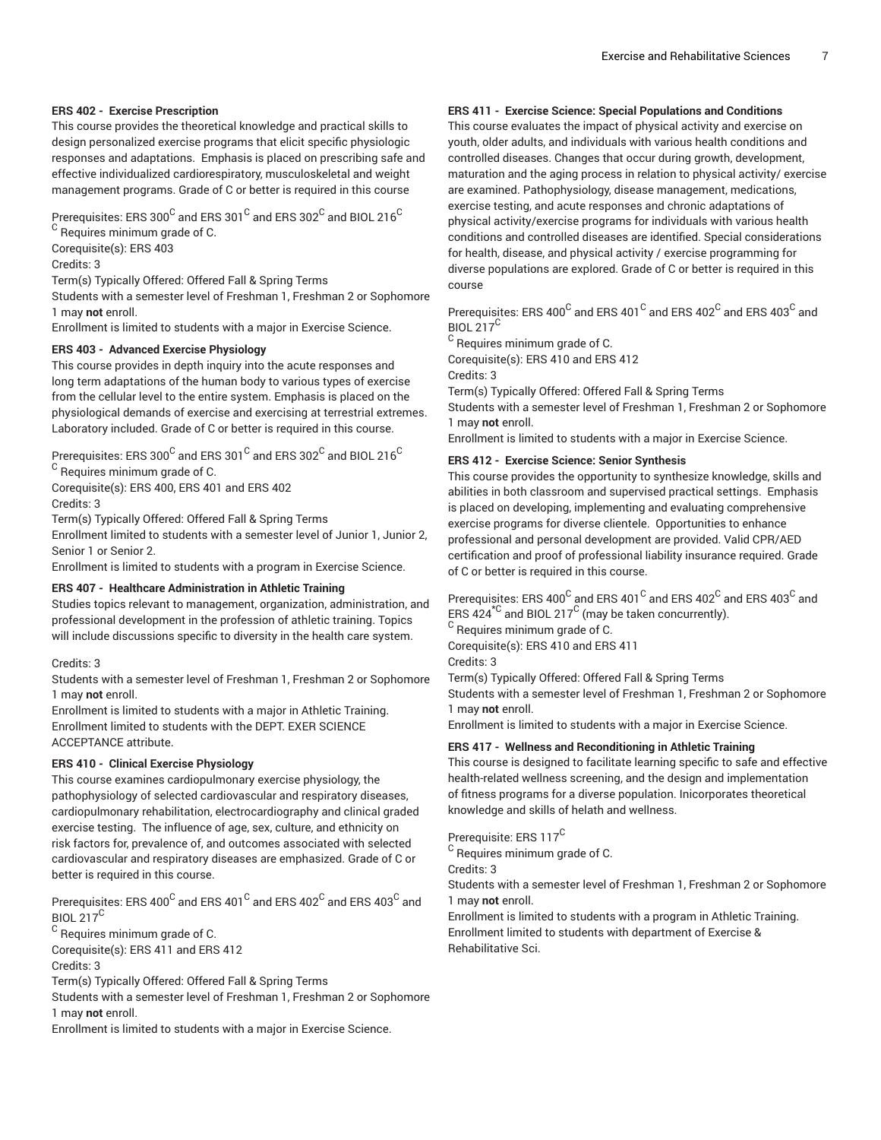#### **ERS 402 - Exercise Prescription**

This course provides the theoretical knowledge and practical skills to design personalized exercise programs that elicit specific physiologic responses and adaptations. Emphasis is placed on prescribing safe and effective individualized cardiorespiratory, musculoskeletal and weight management programs. Grade of C or better is required in this course

Prerequisites: ERS 300 $^{\rm C}$  and ERS 301 $^{\rm C}$  and ERS 302 $^{\rm C}$  and BIOL 216 $^{\rm C}$  $^{\mathsf{C}}$  Requires minimum grade of C.

Corequisite(s): ERS 403

Credits: 3

Term(s) Typically Offered: Offered Fall & Spring Terms

Students with a semester level of Freshman 1, Freshman 2 or Sophomore 1 may **not** enroll.

Enrollment is limited to students with a major in Exercise Science.

# **ERS 403 - Advanced Exercise Physiology**

This course provides in depth inquiry into the acute responses and long term adaptations of the human body to various types of exercise from the cellular level to the entire system. Emphasis is placed on the physiological demands of exercise and exercising at terrestrial extremes. Laboratory included. Grade of C or better is required in this course.

Prerequisites: ERS 300 $^{\rm C}$  and ERS 301 $^{\rm C}$  and ERS 302 $^{\rm C}$  and BIOL 216 $^{\rm C}$ 

 $^{\mathsf{C}}$  Requires minimum grade of C.

Corequisite(s): ERS 400, ERS 401 and ERS 402

Credits: 3

Term(s) Typically Offered: Offered Fall & Spring Terms

Enrollment limited to students with a semester level of Junior 1, Junior 2, Senior 1 or Senior 2.

Enrollment is limited to students with a program in Exercise Science.

#### **ERS 407 - Healthcare Administration in Athletic Training**

Studies topics relevant to management, organization, administration, and professional development in the profession of athletic training. Topics will include discussions specific to diversity in the health care system.

#### Credits: 3

Students with a semester level of Freshman 1, Freshman 2 or Sophomore 1 may **not** enroll.

Enrollment is limited to students with a major in Athletic Training. Enrollment limited to students with the DEPT. EXER SCIENCE ACCEPTANCE attribute.

# **ERS 410 - Clinical Exercise Physiology**

This course examines cardiopulmonary exercise physiology, the pathophysiology of selected cardiovascular and respiratory diseases, cardiopulmonary rehabilitation, electrocardiography and clinical graded exercise testing. The influence of age, sex, culture, and ethnicity on risk factors for, prevalence of, and outcomes associated with selected cardiovascular and respiratory diseases are emphasized. Grade of C or better is required in this course.

Prerequisites: ERS 400 $^{\rm C}$  and ERS 401 $^{\rm C}$  and ERS 402 $^{\rm C}$  and ERS 403 $^{\rm C}$  and BIOL  $217^{\circ}$ 

 $^{\rm C}$  Requires minimum grade of C.

Corequisite(s): ERS 411 and ERS 412 Credits: 3

Term(s) Typically Offered: Offered Fall & Spring Terms

Students with a semester level of Freshman 1, Freshman 2 or Sophomore 1 may **not** enroll.

Enrollment is limited to students with a major in Exercise Science.

# **ERS 411 - Exercise Science: Special Populations and Conditions**

This course evaluates the impact of physical activity and exercise on youth, older adults, and individuals with various health conditions and controlled diseases. Changes that occur during growth, development, maturation and the aging process in relation to physical activity/ exercise are examined. Pathophysiology, disease management, medications, exercise testing, and acute responses and chronic adaptations of physical activity/exercise programs for individuals with various health conditions and controlled diseases are identified. Special considerations for health, disease, and physical activity / exercise programming for diverse populations are explored. Grade of C or better is required in this course

Prerequisites: ERS 400 $^{\rm C}$  and ERS 401 $^{\rm C}$  and ERS 402 $^{\rm C}$  and ERS 403 $^{\rm C}$  and BIOL  $217^{\text{C}}$ 

 $^{\rm C}$  Requires minimum grade of C.

Corequisite(s): ERS 410 and ERS 412

Credits: 3

Term(s) Typically Offered: Offered Fall & Spring Terms

Students with a semester level of Freshman 1, Freshman 2 or Sophomore 1 may **not** enroll.

Enrollment is limited to students with a major in Exercise Science.

# **ERS 412 - Exercise Science: Senior Synthesis**

This course provides the opportunity to synthesize knowledge, skills and abilities in both classroom and supervised practical settings. Emphasis is placed on developing, implementing and evaluating comprehensive exercise programs for diverse clientele. Opportunities to enhance professional and personal development are provided. Valid CPR/AED certification and proof of professional liability insurance required. Grade of C or better is required in this course.

Prerequisites: ERS 400 $^{\rm C}$  and ERS 401 $^{\rm C}$  and ERS 402 $^{\rm C}$  and ERS 403 $^{\rm C}$  and ERS 424 $^{\star\text{\scriptsize C}}$  and BIOL 217 $^{\text{\scriptsize C}}$  (may be taken concurrently).

 $^{\rm C}$  Requires minimum grade of C.

Corequisite(s): ERS 410 and ERS 411

Credits: 3

Term(s) Typically Offered: Offered Fall & Spring Terms

Students with a semester level of Freshman 1, Freshman 2 or Sophomore 1 may **not** enroll.

Enrollment is limited to students with a major in Exercise Science.

# **ERS 417 - Wellness and Reconditioning in Athletic Training**

This course is designed to facilitate learning specific to safe and effective health-related wellness screening, and the design and implementation of fitness programs for a diverse population. Inicorporates theoretical knowledge and skills of helath and wellness.

# Prerequisite: ERS 117<sup>C</sup>

 $^{\rm C}$  Requires minimum grade of C.

Credits: 3

Students with a semester level of Freshman 1, Freshman 2 or Sophomore 1 may **not** enroll.

Enrollment is limited to students with a program in Athletic Training. Enrollment limited to students with department of Exercise & Rehabilitative Sci.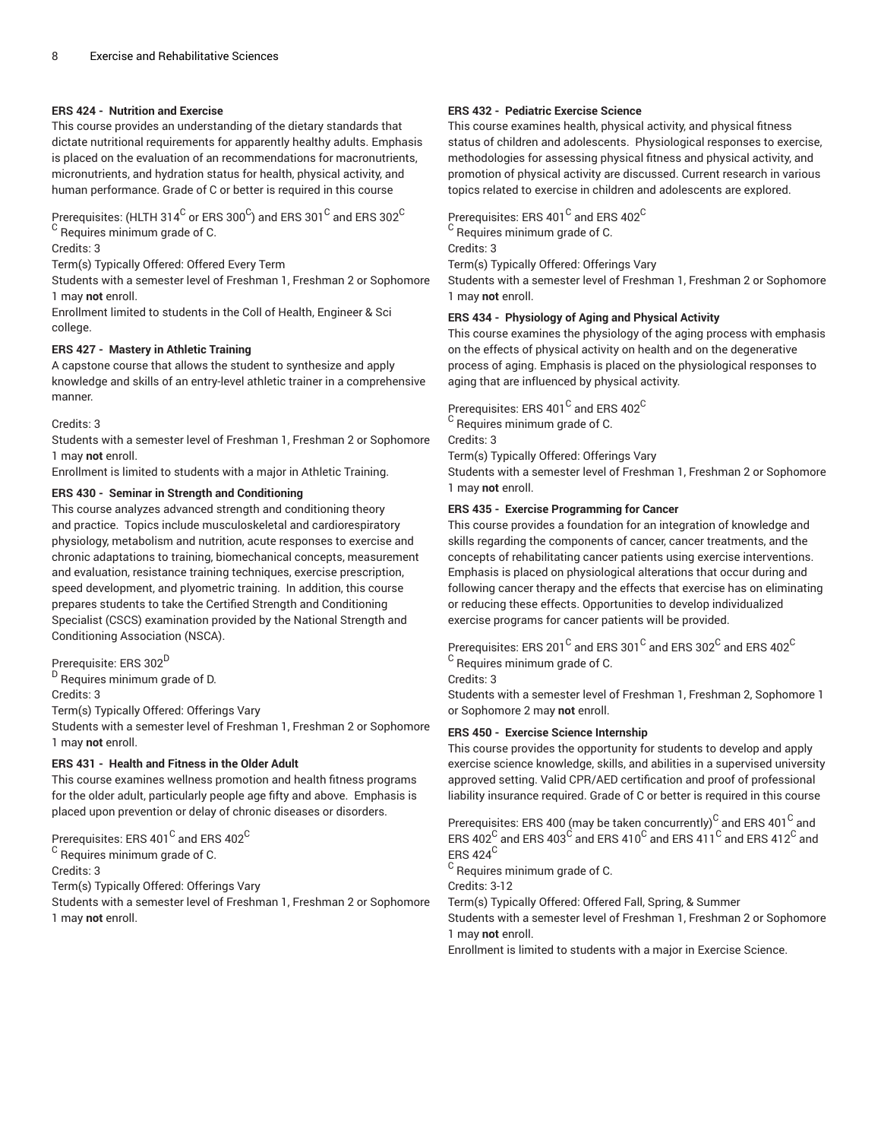#### **ERS 424 - Nutrition and Exercise**

This course provides an understanding of the dietary standards that dictate nutritional requirements for apparently healthy adults. Emphasis is placed on the evaluation of an recommendations for macronutrients, micronutrients, and hydration status for health, physical activity, and human performance. Grade of C or better is required in this course

Prerequisites: (HLTH 314 $^{\rm C}$  or ERS 300 $^{\rm C}$ ) and ERS 301 $^{\rm C}$  and ERS 302 $^{\rm C}$  $^{\rm C}$  Requires minimum grade of C.

Credits: 3

Term(s) Typically Offered: Offered Every Term

Students with a semester level of Freshman 1, Freshman 2 or Sophomore 1 may **not** enroll.

Enrollment limited to students in the Coll of Health, Engineer & Sci college.

#### **ERS 427 - Mastery in Athletic Training**

A capstone course that allows the student to synthesize and apply knowledge and skills of an entry-level athletic trainer in a comprehensive manner.

#### Credits: 3

Students with a semester level of Freshman 1, Freshman 2 or Sophomore 1 may **not** enroll.

Enrollment is limited to students with a major in Athletic Training.

## **ERS 430 - Seminar in Strength and Conditioning**

This course analyzes advanced strength and conditioning theory and practice. Topics include musculoskeletal and cardiorespiratory physiology, metabolism and nutrition, acute responses to exercise and chronic adaptations to training, biomechanical concepts, measurement and evaluation, resistance training techniques, exercise prescription, speed development, and plyometric training. In addition, this course prepares students to take the Certified Strength and Conditioning Specialist (CSCS) examination provided by the National Strength and Conditioning Association (NSCA).

Prerequisite: ERS 302 D

<sup>D</sup> Requires minimum grade of D.

Credits: 3

Term(s) Typically Offered: Offerings Vary

Students with a semester level of Freshman 1, Freshman 2 or Sophomore 1 may **not** enroll.

# **ERS 431 - Health and Fitness in the Older Adult**

This course examines wellness promotion and health fitness programs for the older adult, particularly people age fifty and above. Emphasis is placed upon prevention or delay of chronic diseases or disorders.

Prerequisites: ERS 401 $^{\rm C}$  and ERS 402 $^{\rm C}$ 

 $^{\mathsf{C}}$  Requires minimum grade of C.

Credits: 3

Term(s) Typically Offered: Offerings Vary

Students with a semester level of Freshman 1, Freshman 2 or Sophomore 1 may **not** enroll.

# **ERS 432 - Pediatric Exercise Science**

This course examines health, physical activity, and physical fitness status of children and adolescents. Physiological responses to exercise, methodologies for assessing physical fitness and physical activity, and promotion of physical activity are discussed. Current research in various topics related to exercise in children and adolescents are explored.

Prerequisites: ERS 401 $^{\rm C}$  and ERS 402 $^{\rm C}$ 

 $^{\rm C}$  Requires minimum grade of C. Credits: 3

Term(s) Typically Offered: Offerings Vary

Students with a semester level of Freshman 1, Freshman 2 or Sophomore 1 may **not** enroll.

# **ERS 434 - Physiology of Aging and Physical Activity**

This course examines the physiology of the aging process with emphasis on the effects of physical activity on health and on the degenerative process of aging. Emphasis is placed on the physiological responses to aging that are influenced by physical activity.

Prerequisites: ERS 401 $^{\rm C}$  and ERS 402 $^{\rm C}$ 

 $^{\rm C}$  Requires minimum grade of C.

Credits: 3

Term(s) Typically Offered: Offerings Vary

Students with a semester level of Freshman 1, Freshman 2 or Sophomore 1 may **not** enroll.

# **ERS 435 - Exercise Programming for Cancer**

This course provides a foundation for an integration of knowledge and skills regarding the components of cancer, cancer treatments, and the concepts of rehabilitating cancer patients using exercise interventions. Emphasis is placed on physiological alterations that occur during and following cancer therapy and the effects that exercise has on eliminating or reducing these effects. Opportunities to develop individualized exercise programs for cancer patients will be provided.

Prerequisites: ERS 201 $^{\rm C}$  and ERS 301 $^{\rm C}$  and ERS 302 $^{\rm C}$  and ERS 402 $^{\rm C}$  $^{\rm C}$  Requires minimum grade of C.

Credits: 3

Students with a semester level of Freshman 1, Freshman 2, Sophomore 1 or Sophomore 2 may **not** enroll.

# **ERS 450 - Exercise Science Internship**

This course provides the opportunity for students to develop and apply exercise science knowledge, skills, and abilities in a supervised university approved setting. Valid CPR/AED certification and proof of professional liability insurance required. Grade of C or better is required in this course

Prerequisites: ERS 400 (may be taken concurrently) $^{\rm C}$  and ERS 401  $^{\rm C}$  and ERS 402 $^{\rm C}$  and ERS 403 $^{\rm C}$  and ERS 410 $^{\rm C}$  and ERS 411 $^{\rm C}$  and ERS 412 $^{\rm C}$  and ERS 424<sup>C</sup>

 $^{\rm C}$  Requires minimum grade of C.

Credits: 3-12

Term(s) Typically Offered: Offered Fall, Spring, & Summer

Students with a semester level of Freshman 1, Freshman 2 or Sophomore 1 may **not** enroll.

Enrollment is limited to students with a major in Exercise Science.